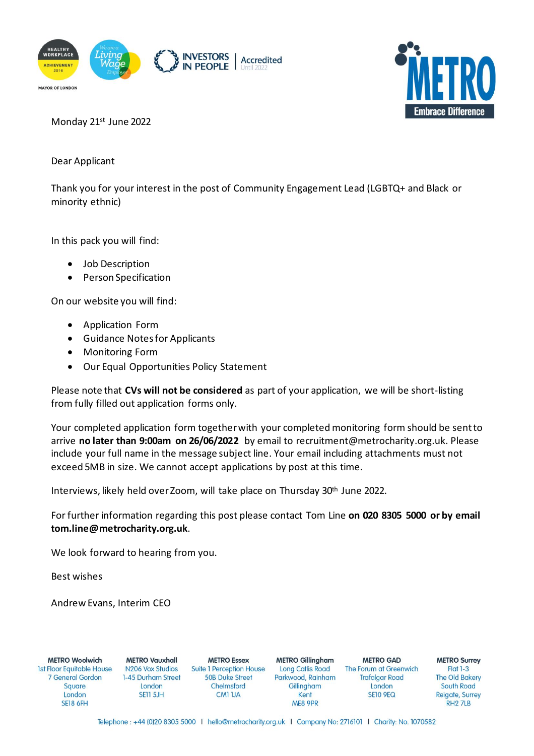



Monday 21st June 2022

Dear Applicant

Thank you for your interest in the post of Community Engagement Lead (LGBTQ+ and Black or minority ethnic)

In this pack you will find:

- Job Description
- Person Specification

On our website you will find:

- Application Form
- Guidance Notes for Applicants
- Monitoring Form
- Our Equal Opportunities Policy Statement

Please note that **CVs will not be considered** as part of your application, we will be short-listing from fully filled out application forms only.

Your completed application form together with your completedmonitoring form should be sent to arrive **no later than 9:00am on 26/06/2022** by email to recruitment@metrocharity.org.uk. Please include your full name in the message subject line. Your email including attachments must not exceed 5MB in size. We cannot accept applications by post at this time.

Interviews, likely held over Zoom, will take place on Thursday 30th June 2022.

For further information regarding this post please contact Tom Line **on 020 8305 5000 or by email tom.line@metrocharity.org.uk**.

We look forward to hearing from you.

Best wishes

Andrew Evans, Interim CEO

**METRO Woolwich 1st Floor Equitable House 7 General Gordon** Square London **SE18 6FH** 

**METRO Vauxhall** N<sub>206</sub> Vox Studios 1-45 Durham Street London **SE11 5JH** 

**METRO Essex Suite 1 Perception House 50B Duke Street** Chelmsford CM1 1JA

**METRO Gillingham Long Catlis Road** Parkwood, Rainham Gillingham Kent ME8 9PR

**METRO GAD** The Forum at Greenwich **Trafalgar Road** London **SE10 9EQ** 

**METRO Surrey**  $Flat 1-3$ **The Old Bakery** South Road Reigate, Surrey RH<sub>2</sub> 7LB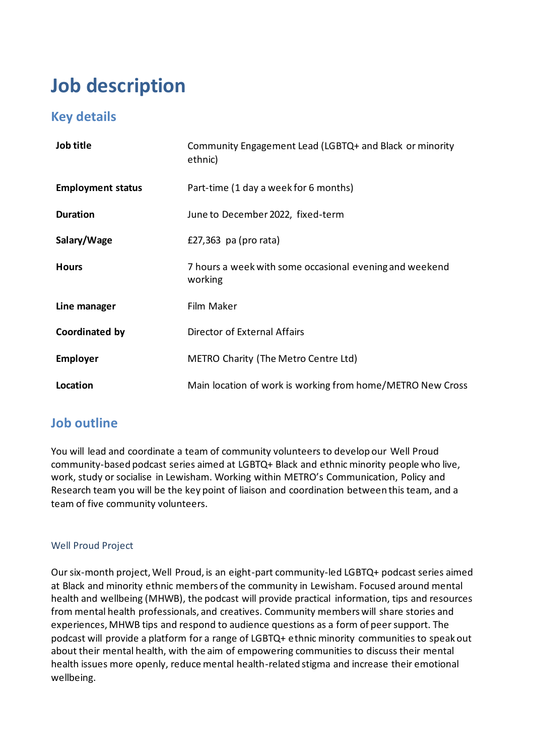## **Job description**

## **Key details**

| Job title                | Community Engagement Lead (LGBTQ+ and Black or minority<br>ethnic) |  |  |
|--------------------------|--------------------------------------------------------------------|--|--|
| <b>Employment status</b> | Part-time (1 day a week for 6 months)                              |  |  |
| <b>Duration</b>          | June to December 2022, fixed-term                                  |  |  |
| Salary/Wage              | £27,363 pa (pro rata)                                              |  |  |
| <b>Hours</b>             | 7 hours a week with some occasional evening and weekend<br>working |  |  |
| Line manager             | Film Maker                                                         |  |  |
| Coordinated by           | Director of External Affairs                                       |  |  |
| <b>Employer</b>          | METRO Charity (The Metro Centre Ltd)                               |  |  |
| Location                 | Main location of work is working from home/METRO New Cross         |  |  |

## **Job outline**

You will lead and coordinate a team of community volunteers to develop our Well Proud community-based podcast series aimed at LGBTQ+ Black and ethnic minority people who live, work, study or socialise in Lewisham. Working within METRO's Communication, Policy and Research team you will be the key point of liaison and coordination between this team, and a team of five community volunteers.

#### Well Proud Project

Our six-month project, Well Proud, is an eight-part community-led LGBTQ+ podcast series aimed at Black and minority ethnic members of the community in Lewisham. Focused around mental health and wellbeing (MHWB), the podcast will provide practical information, tips and resources from mental health professionals, and creatives. Community members will share stories and experiences, MHWB tips and respond to audience questions as a form of peer support. The podcast will provide a platform for a range of LGBTQ+ ethnic minority communities to speak out about their mental health, with the aim of empowering communities to discuss their mental health issues more openly, reduce mental health-related stigma and increase their emotional wellbeing.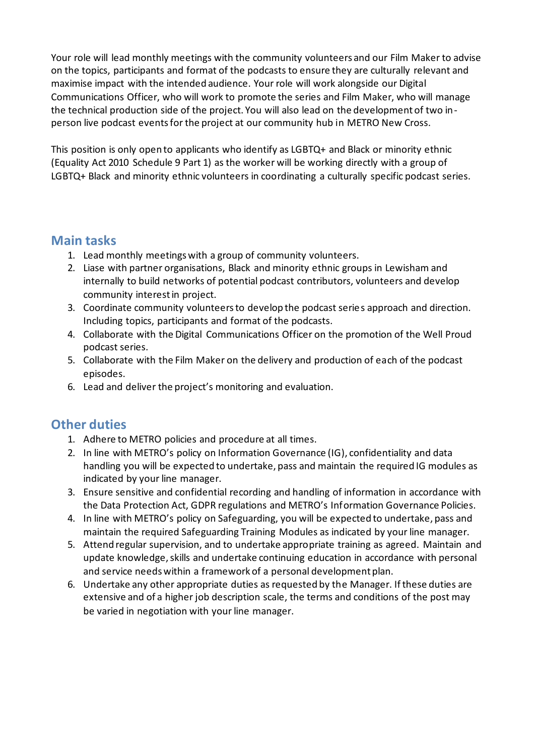Your role will lead monthly meetings with the community volunteers and our Film Maker to advise on the topics, participants and format of the podcasts to ensure they are culturally relevant and maximise impact with the intended audience. Your role will work alongside our Digital Communications Officer, who will work to promote the series and Film Maker, who will manage the technical production side of the project. You will also lead on the development of two inperson live podcast events for the project at our community hub in METRO New Cross.

This position is only open to applicants who identify as LGBTQ+ and Black or minority ethnic (Equality Act 2010 Schedule 9 Part 1) as the worker will be working directly with a group of LGBTQ+ Black and minority ethnic volunteers in coordinating a culturally specific podcast series.

#### **Main tasks**

- 1. Lead monthly meetings with a group of community volunteers.
- 2. Liase with partner organisations, Black and minority ethnic groups in Lewisham and internally to build networks of potential podcast contributors, volunteers and develop community interest in project.
- 3. Coordinate community volunteers to develop the podcast series approach and direction. Including topics, participants and format of the podcasts.
- 4. Collaborate with the Digital Communications Officer on the promotion of the Well Proud podcast series.
- 5. Collaborate with the Film Maker on the delivery and production of each of the podcast episodes.
- 6. Lead and deliver the project's monitoring and evaluation.

## **Other duties**

- 1. Adhere to METRO policies and procedure at all times.
- 2. In line with METRO's policy on Information Governance (IG), confidentiality and data handling you will be expected to undertake, pass and maintain the required IG modules as indicated by your line manager.
- 3. Ensure sensitive and confidential recording and handling of information in accordance with the Data Protection Act, GDPR regulations and METRO's Information Governance Policies.
- 4. In line with METRO's policy on Safeguarding, you will be expected to undertake, pass and maintain the required Safeguarding Training Modules as indicated by your line manager.
- 5. Attend regular supervision, and to undertake appropriate training as agreed. Maintain and update knowledge, skills and undertake continuing education in accordance with personal and service needs within a framework of a personal development plan.
- 6. Undertake any other appropriate duties as requested by the Manager. If these duties are extensive and of a higher job description scale, the terms and conditions of the post may be varied in negotiation with your line manager.